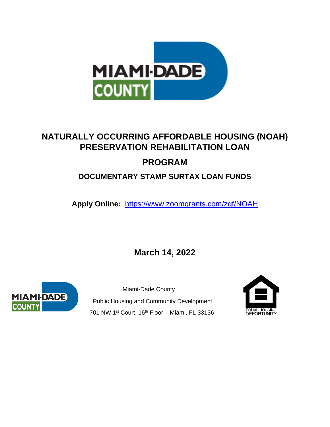

# **NATURALLY OCCURRING AFFORDABLE HOUSING (NOAH) PRESERVATION REHABILITATION LOAN PROGRAM**

# **DOCUMENTARY STAMP SURTAX LOAN FUNDS**

**Apply Online:** <https://www.zoomgrants.com/zgf/NOAH>

**March 14, 2022**



 Miami-Dade County Public Housing and Community Development 701 NW 1st Court, 16th Floor - Miami, FL 33136

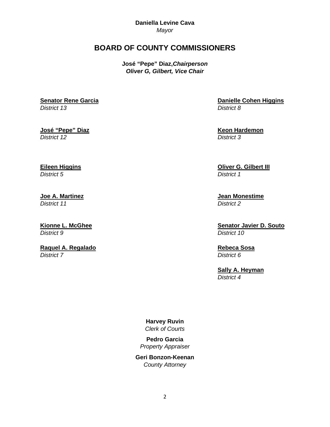**Daniella Levine Cava** *Mayor*

# **BOARD OF COUNTY COMMISSIONERS**

**José "Pepe" Diaz,***Chairperson Oliver G, Gilbert, Vice Chair*

**Senator Rene Garcia** *District 13*

**José "Pepe" Diaz** *District 12*

**Eileen Higgins**

*District 5*

**Joe A. Martinez** *District 11*

**Kionne L. McGhee** *District 9*

**Raquel A. Regalado** *District 7*

**Danielle Cohen Higgins** *District 8*

**Keon Hardemon** *District 3*

**Oliver G. Gilbert III** *District 1*

**Jean Monestime**  *District 2*

**Senator Javier D. Souto** *District 10*

**Rebeca Sosa** *District 6*

**Sally A. Heyman** *District 4*

**Harvey Ruvin** *Clerk of Courts*

**Pedro Garcia** *Property Appraiser*

**Geri Bonzon-Keenan** *County Attorney*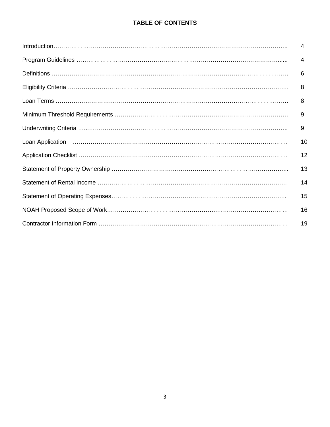## **TABLE OF CONTENTS**

| $\overline{4}$ |
|----------------|
| 4              |
| 6              |
| 8              |
| 8              |
| 9              |
| 9              |
| 10             |
| 12             |
| 13             |
| 14             |
| 15             |
| 16             |
| 19             |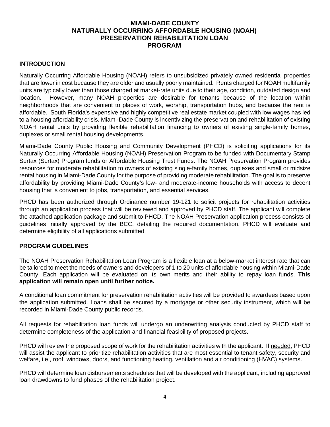#### **MIAMI-DADE COUNTY NATURALLY OCCURRING AFFORDABLE HOUSING (NOAH) PRESERVATION REHABILITATION LOAN PROGRAM**

#### **INTRODUCTION**

Naturally Occurring Affordable Housing (NOAH) refers to unsubsidized privately owned residential properties that are lower in cost because they are older and usually poorly maintained. Rents charged for NOAH multifamily units are typically lower than those charged at market-rate units due to their age, condition, outdated design and location. However, many NOAH properties are desirable for tenants because of the location within neighborhoods that are convenient to places of work, worship, transportation hubs, and because the rent is affordable. South Florida's expensive and highly competitive real estate market coupled with low wages has led to a housing affordability crisis. Miami-Dade County is incentivizing the preservation and rehabilitation of existing NOAH rental units by providing flexible rehabilitation financing to owners of existing single-family homes, duplexes or small rental housing developments.

Miami-Dade County Public Housing and Community Development (PHCD) is soliciting applications for its Naturally Occurring Affordable Housing (NOAH) Preservation Program to be funded with Documentary Stamp Surtax (Surtax) Program funds or Affordable Housing Trust Funds. The NOAH Preservation Program provides resources for moderate rehabilitation to owners of existing single-family homes, duplexes and small or midsize rental housing in Miami-Dade County for the purpose of providing moderate rehabilitation. The goal is to preserve affordability by providing Miami-Dade County's low- and moderate-income households with access to decent housing that is convenient to jobs, transportation, and essential services.

PHCD has been authorized through Ordinance number 19-121 to solicit projects for rehabilitation activities through an application process that will be reviewed and approved by PHCD staff. The applicant will complete the attached application package and submit to PHCD. The NOAH Preservation application process consists of guidelines initially approved by the BCC, detailing the required documentation. PHCD will evaluate and determine eligibility of all applications submitted.

#### **PROGRAM GUIDELINES**

The NOAH Preservation Rehabilitation Loan Program is a flexible loan at a below-market interest rate that can be tailored to meet the needs of owners and developers of 1 to 20 units of affordable housing within Miami-Dade County. Each application will be evaluated on its own merits and their ability to repay loan funds. **This application will remain open until further notice.**

A conditional loan commitment for preservation rehabilitation activities will be provided to awardees based upon the application submitted. Loans shall be secured by a mortgage or other security instrument, which will be recorded in Miami-Dade County public records.

All requests for rehabilitation loan funds will undergo an underwriting analysis conducted by PHCD staff to determine completeness of the application and financial feasibility of proposed projects.

PHCD will review the proposed scope of work for the rehabilitation activities with the applicant. If needed, PHCD will assist the applicant to prioritize rehabilitation activities that are most essential to tenant safety, security and welfare, i.e., roof, windows, doors, and functioning heating, ventilation and air conditioning (HVAC) systems.

PHCD will determine loan disbursements schedules that will be developed with the applicant, including approved loan drawdowns to fund phases of the rehabilitation project.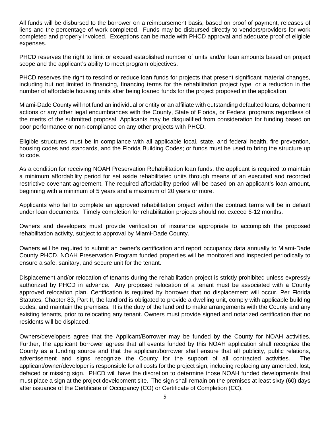All funds will be disbursed to the borrower on a reimbursement basis, based on proof of payment, releases of liens and the percentage of work completed. Funds may be disbursed directly to vendors/providers for work completed and properly invoiced. Exceptions can be made with PHCD approval and adequate proof of eligible expenses.

PHCD reserves the right to limit or exceed established number of units and/or loan amounts based on project scope and the applicant's ability to meet program objectives.

PHCD reserves the right to rescind or reduce loan funds for projects that present significant material changes, including but not limited to financing, financing terms for the rehabilitation project type, or a reduction in the number of affordable housing units after being loaned funds for the project proposed in the application.

Miami-Dade County will not fund an individual or entity or an affiliate with outstanding defaulted loans, debarment actions or any other legal encumbrances with the County, State of Florida, or Federal programs regardless of the merits of the submitted proposal. Applicants may be disqualified from consideration for funding based on poor performance or non-compliance on any other projects with PHCD.

Eligible structures must be in compliance with all applicable local, state, and federal health, fire prevention, housing codes and standards, and the Florida Building Codes; or funds must be used to bring the structure up to code.

As a condition for receiving NOAH Preservation Rehabilitation loan funds, the applicant is required to maintain a minimum affordability period for set aside rehabilitated units through means of an executed and recorded restrictive covenant agreement. The required affordability period will be based on an applicant's loan amount, beginning with a minimum of 5 years and a maximum of 20 years or more.

Applicants who fail to complete an approved rehabilitation project within the contract terms will be in default under loan documents. Timely completion for rehabilitation projects should not exceed 6-12 months.

Owners and developers must provide verification of insurance appropriate to accomplish the proposed rehabilitation activity, subject to approval by Miami-Dade County.

Owners will be required to submit an owner's certification and report occupancy data annually to Miami-Dade County PHCD. NOAH Preservation Program funded properties will be monitored and inspected periodically to ensure a safe, sanitary, and secure unit for the tenant.

Displacement and/or relocation of tenants during the rehabilitation project is strictly prohibited unless expressly authorized by PHCD in advance. Any proposed relocation of a tenant must be associated with a County approved relocation plan. Certification is required by borrower that no displacement will occur. Per Florida Statutes, Chapter 83, Part II, the landlord is obligated to provide a dwelling unit, comply with applicable building codes, and maintain the premises. It is the duty of the landlord to make arrangements with the County and any existing tenants, prior to relocating any tenant. Owners must provide signed and notarized certification that no residents will be displaced.

Owners/developers agree that the Applicant/Borrower may be funded by the County for NOAH activities. Further, the applicant borrower agrees that all events funded by this NOAH application shall recognize the County as a funding source and that the applicant/borrower shall ensure that all publicity, public relations, advertisement and signs recognize the County for the support of all contracted activities. The applicant/owner/developer is responsible for all costs for the project sign, including replacing any amended, lost, defaced or missing sign. PHCD will have the discretion to determine those NOAH funded developments that must place a sign at the project development site. The sign shall remain on the premises at least sixty (60) days after issuance of the Certificate of Occupancy (CO) or Certificate of Completion (CC).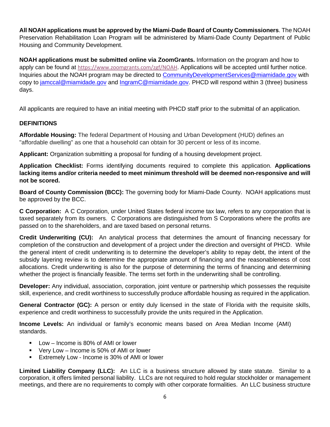**All NOAH applications must be approved by the Miami-Dade Board of County Commissioners**. The NOAH Preservation Rehabilitation Loan Program will be administered by Miami-Dade County Department of Public Housing and Community Development.

**NOAH applications must be submitted online via ZoomGrants.** Information on the program and how to apply can be found at <https://www.zoomgrants.com/zgf/NOAH>. Applications will be accepted until further notice. Inquiries about the NOAH program may be directed to [CommunityDevelopmentServices@miamidade.gov](mailto:CommunityDevelopmentServices@miamidade.gov) with copy to [jamccal@miamidade.gov](mailto:jamccal@miamidade.gov) and [IngramC@miamidade.gov.](mailto:IngramC@miamidade.gov) PHCD will respond within 3 (three) business days.

All applicants are required to have an initial meeting with PHCD staff prior to the submittal of an application.

#### **DEFINITIONS**

**Affordable Housing:** The federal Department of Housing and Urban Development (HUD) defines an "affordable dwelling" as one that a household can obtain for 30 percent or less of its income.

**Applicant:** Organization submitting a proposal for funding of a housing development project.

**Application Checklist:** Forms identifying documents required to complete this application. **Applications lacking items and/or criteria needed to meet minimum threshold will be deemed non-responsive and will not be scored.** 

**Board of County Commission (BCC):** The governing body for Miami-Dade County. NOAH applications must be approved by the BCC.

**C Corporation:** A C Corporation, under United States federal income tax law, refers to any corporation that is taxed separately from its owners. C Corporations are distinguished from S Corporations where the profits are passed on to the shareholders, and are taxed based on personal returns.

**Credit Underwriting (CU):** An analytical process that determines the amount of financing necessary for completion of the construction and development of a project under the direction and oversight of PHCD. While the general intent of credit underwriting is to determine the developer's ability to repay debt, the intent of the subsidy layering review is to determine the appropriate amount of financing and the reasonableness of cost allocations. Credit underwriting is also for the purpose of determining the terms of financing and determining whether the project is financially feasible. The terms set forth in the underwriting shall be controlling.

**Developer:** Any individual, association, corporation, joint venture or partnership which possesses the requisite skill, experience, and credit worthiness to successfully produce affordable housing as required in the application.

**General Contractor (GC):** A person or entity duly licensed in the state of Florida with the requisite skills, experience and credit worthiness to successfully provide the units required in the Application.

**Income Levels:** An individual or family's economic means based on Area Median Income (AMI) standards.

- Low Income is 80% of AMI or lower
- Very Low Income is 50% of AMI or lower
- Extremely Low Income is 30% of AMI or lower

**Limited Liability Company (LLC):** An LLC is a business structure allowed by state statute. Similar to a corporation, it offers limited personal liability. LLCs are not required to hold regular stockholder or management meetings, and there are no requirements to comply with other corporate formalities. An LLC business structure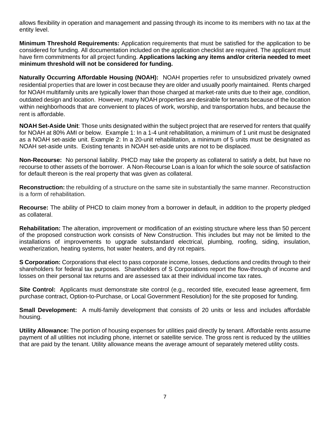allows flexibility in operation and management and passing through its income to its members with no tax at the entity level.

**Minimum Threshold Requirements:** Application requirements that must be satisfied for the application to be considered for funding. All documentation included on the application checklist are required. The applicant must have firm commitments for all project funding. **Applications lacking any items and/or criteria needed to meet minimum threshold will not be considered for funding.** 

**Naturally Occurring Affordable Housing (NOAH):** NOAH properties refer to unsubsidized privately owned residential properties that are lower in cost because they are older and usually poorly maintained. Rents charged for NOAH multifamily units are typically lower than those charged at market-rate units due to their age, condition, outdated design and location. However, many NOAH properties are desirable for tenants because of the location within neighborhoods that are convenient to places of work, worship, and transportation hubs, and because the rent is affordable.

**NOAH Set-Aside Unit**: Those units designated within the subject project that are reserved for renters that qualify for NOAH at 80% AMI or below. Example 1: In a 1-4 unit rehabilitation, a minimum of 1 unit must be designated as a NOAH set-aside unit. Example 2: In a 20-unit rehabilitation, a minimum of 5 units must be designated as NOAH set-aside units. Existing tenants in NOAH set-aside units are not to be displaced.

**Non-Recourse:** No personal liability. PHCD may take the property as collateral to satisfy a debt, but have no recourse to other assets of the borrower. A Non-Recourse Loan is a loan for which the sole source of satisfaction for default thereon is the real property that was given as collateral.

**Reconstruction:** the rebuilding of a structure on the same site in substantially the same manner. Reconstruction is a form of rehabilitation.

**Recourse:** The ability of PHCD to claim money from a borrower in default, in addition to the property pledged as collateral.

**Rehabilitation:** The alteration, improvement or modification of an existing structure where less than 50 percent of the proposed construction work consists of New Construction. This includes but may not be limited to the installations of improvements to upgrade substandard electrical, plumbing, roofing, siding, insulation, weatherization, heating systems, hot water heaters, and dry rot repairs.

**S Corporation:** Corporations that elect to pass corporate income, losses, deductions and credits through to their shareholders for federal tax purposes. Shareholders of S Corporations report the flow-through of income and losses on their personal tax returns and are assessed tax at their individual income tax rates.

**Site Control:** Applicants must demonstrate site control (e.g., recorded title, executed lease agreement, firm purchase contract, Option-to-Purchase, or Local Government Resolution) for the site proposed for funding.

**Small Development:** A multi-family development that consists of 20 units or less and includes affordable housing.

**Utility Allowance:** The portion of housing expenses for utilities paid directly by tenant. Affordable rents assume payment of all utilities not including phone, internet or satellite service. The gross rent is reduced by the utilities that are paid by the tenant. Utility allowance means the average amount of separately metered utility costs.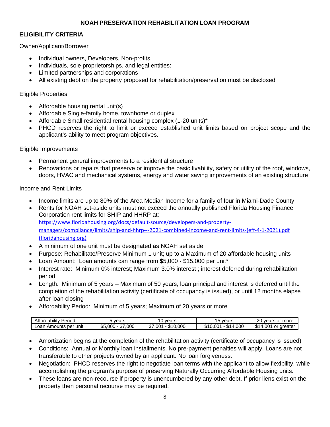#### **NOAH PRESERVATION REHABILITATION LOAN PROGRAM**

#### **ELIGIBILITY CRITERIA**

#### Owner/Applicant/Borrower

- Individual owners, Developers, Non-profits
- Individuals, sole proprietorships, and legal entities:
- Limited partnerships and corporations
- All existing debt on the property proposed for rehabilitation/preservation must be disclosed

#### Eligible Properties

- Affordable housing rental unit(s)
- Affordable Single-family home, townhome or duplex
- Affordable Small residential rental housing complex (1-20 units)\*
- PHCD reserves the right to limit or exceed established unit limits based on project scope and the applicant's ability to meet program objectives.

#### Eligible Improvements

- Permanent general improvements to a residential structure
- Renovations or repairs that preserve or improve the basic livability, safety or utility of the roof, windows, doors, HVAC and mechanical systems, energy and water saving improvements of an existing structure

#### Income and Rent Limits

- Income limits are up to 80% of the Area Median Income for a family of four in Miami-Dade County
- Rents for NOAH set-aside units must not exceed the annually published Florida Housing Finance Corporation rent limits for SHIP and HHRP at: [https://www.floridahousing.org/docs/default-source/developers-and-property](https://www.floridahousing.org/docs/default-source/developers-and-property-managers/compliance/limits/ship-and-hhrp---2021-combined-income-and-rent-limits-(eff-4-1-2021).pdf?sfvrsn=5b85f87b_2)[managers/compliance/limits/ship-and-hhrp---2021-combined-income-and-rent-limits-\(eff-4-1-2021\).pdf](https://www.floridahousing.org/docs/default-source/developers-and-property-managers/compliance/limits/ship-and-hhrp---2021-combined-income-and-rent-limits-(eff-4-1-2021).pdf?sfvrsn=5b85f87b_2)  [\(floridahousing.org\)](https://www.floridahousing.org/docs/default-source/developers-and-property-managers/compliance/limits/ship-and-hhrp---2021-combined-income-and-rent-limits-(eff-4-1-2021).pdf?sfvrsn=5b85f87b_2)
- A minimum of one unit must be designated as NOAH set aside
- Purpose: Rehabilitate/Preserve Minimum 1 unit; up to a Maximum of 20 affordable housing units
- Loan Amount: Loan amounts can range from \$5,000 \$15,000 per unit\*
- Interest rate: Minimum 0% interest; Maximum 3.0% interest ; interest deferred during rehabilitation period
- Length: Minimum of 5 years Maximum of 50 years; loan principal and interest is deferred until the completion of the rehabilitation activity (certificate of occupancy is issued), or until 12 months elapse after loan closing
- Affordability Period: Minimum of 5 years; Maximum of 20 years or more

| <br>$\cdot$<br>Period<br>Affordability ' | vears                                  | vears<br>◡                           | vears<br>. ب                                 | oc<br>more<br>or<br>vears<br>∠∪       |
|------------------------------------------|----------------------------------------|--------------------------------------|----------------------------------------------|---------------------------------------|
| Loan Amounts<br>. per<br>unit            | ¢Γ<br>000<br>\$5,000<br>$\sim$<br>י מ⊾ | .000<br>\$7.00 <sup>4</sup><br>יו ה. | $\sim$<br>.00C<br>\$10.001<br>$\Delta$<br>٠D | \$14<br>:001<br>or greater<br>$\cdot$ |

- Amortization begins at the completion of the rehabilitation activity (certificate of occupancy is issued)
- Conditions: Annual or Monthly loan installments. No pre-payment penalties will apply. Loans are not transferable to other projects owned by an applicant. No loan forgiveness.
- Negotiation: PHCD reserves the right to negotiate loan terms with the applicant to allow flexibility, while accomplishing the program's purpose of preserving Naturally Occurring Affordable Housing units.
- These loans are non-recourse if property is unencumbered by any other debt. If prior liens exist on the property then personal recourse may be required.